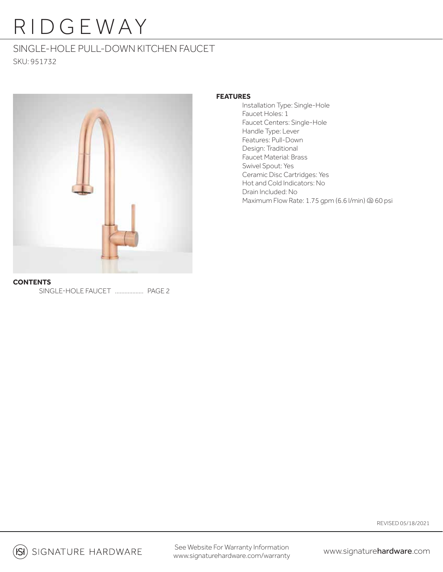## RIDGEWAY

## SINGLE-HOLE PULL-DOWN KITCHEN FAUCET SKU: 951732



## **FEATURES**

 Installation Type: Single-Hole Faucet Holes: 1 Faucet Centers: Single-Hole Handle Type: Lever Features: Pull-Down Design: Traditional Faucet Material: Brass Swivel Spout: Yes Ceramic Disc Cartridges: Yes Hot and Cold Indicators: No Drain Included: No Maximum Flow Rate: 1.75 gpm (6.6 l/min) @ 60 psi

**CONTENTS** SINGLE-HOLE FAUCET .................... PAGE 2

REVISED 05/18/2021

**(SI)** SIGNATURE HARDWARE